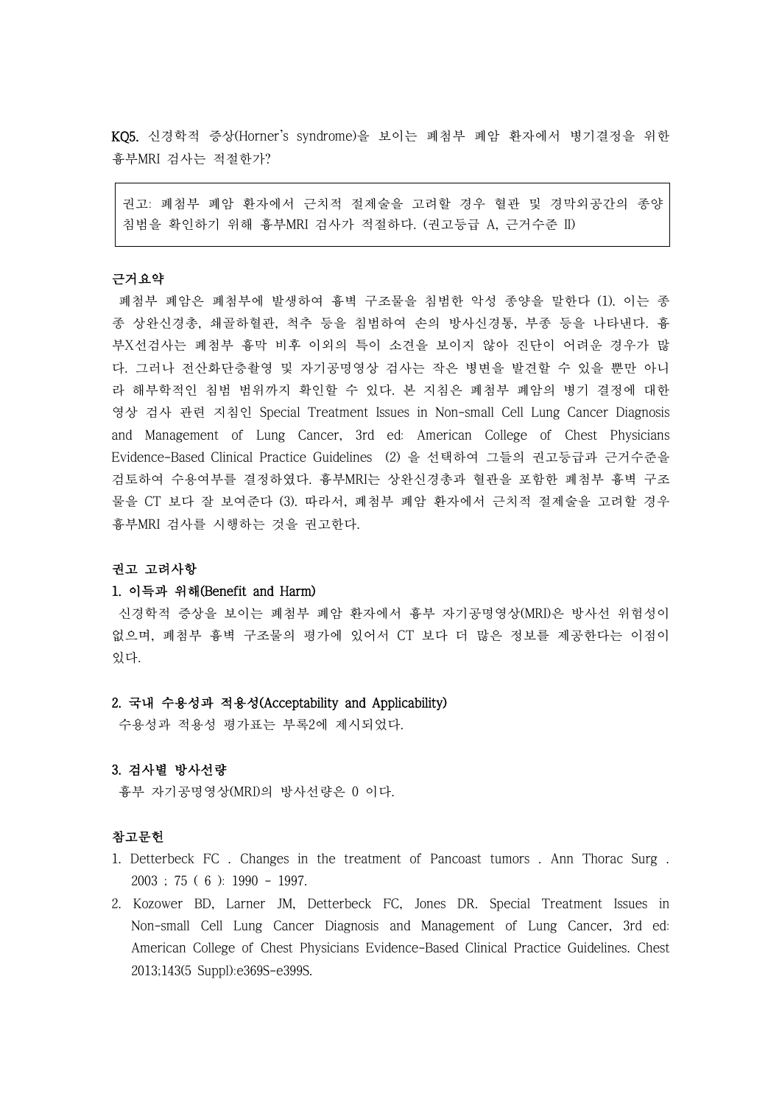KQ5. 신경학적 증상(Horner's syndrome)을 보이는 폐첨부 폐암 환자에서 병기결정을 위한 흉부MRI 검사는 적절한가?

권고: 폐첨부 폐암 환자에서 근치적 절제술을 고려할 경우 혈관 및 경막외공간의 종양 침범을 확인하기 위해 흉부MRI 검사가 적절하다. (권고등급 A, 근거수준 II)

# 근거요약

폐첨부 폐암은 폐첨부에 발생하여 흉벽 구조물을 침범한 악성 종양을 말한다 (1). 이는 종 종 상완신경총, 쇄골하혈관, 척추 등을 침범하여 손의 방사신경통, 부종 등을 나타낸다. 흉 부X선검사는 폐첨부 흉막 비후 이외의 특이 소견을 보이지 않아 진단이 어려운 경우가 많 다. 그러나 전산화단층촬영 및 자기공명영상 검사는 작은 병변을 발견할 수 있을 뿐만 아니 라 해부학적인 침범 범위까지 확인할 수 있다. 본 지침은 폐첨부 폐암의 병기 결정에 대한 영상 검사 관련 지침인 Special Treatment Issues in Non-small Cell Lung Cancer Diagnosis and Management of Lung Cancer, 3rd ed: American College of Chest Physicians Evidence-Based Clinical Practice Guidelines (2) 을 선택하여 그들의 권고등급과 근거수준을 검토하여 수용여부를 결정하였다. 흉부MRI는 상완신경총과 혈관을 포함한 폐첨부 흉벽 구조 물을 CT 보다 잘 보여준다 (3). 따라서, 폐첨부 폐암 환자에서 근치적 절제술을 고려할 경우 흉부MRI 검사를 시행하는 것을 권고한다.

## 권고 고려사항

#### 1. 이득과 위해(Benefit and Harm)

신경학적 증상을 보이는 폐첨부 폐암 환자에서 흉부 자기공명영상(MRI)은 방사선 위험성이 없으며, 폐첨부 흉벽 구조물의 평가에 있어서 CT 보다 더 많은 정보를 제공한다는 이점이 있다.

## 2. 국내 수용성과 적용성(Acceptability and Applicability)

수용성과 적용성 평가표는 부록2에 제시되었다.

#### 3. 검사별 방사선량

흉부 자기공명영상(MRI)의 방사선량은 0 이다.

## 참고문헌

- 1. Detterbeck FC . Changes in the treatment of Pancoast tumors . Ann Thorac Surg . 2003 ; 75 ( 6 ): 1990 - 1997.
- 2. Kozower BD, Larner JM, Detterbeck FC, Jones DR. Special Treatment Issues in Non-small Cell Lung Cancer Diagnosis and Management of Lung Cancer, 3rd ed: American College of Chest Physicians Evidence-Based Clinical Practice Guidelines. Chest 2013;143(5 Suppl):e369S-e399S.